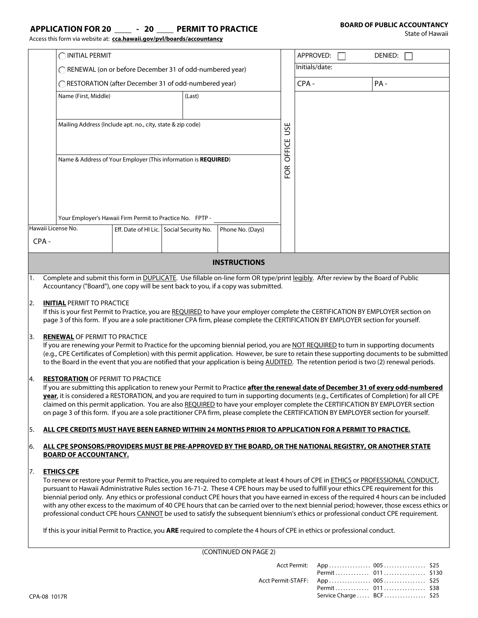#### **APPLICATION FOR 20 - 20 PERMIT TO PRACTICE**

Access this form via website at: **cca.hawaii.gov/pvl/boards/accountancy**

State of Hawaii

|     |                                                                                                                                                                                                                                                                                         | Access this form via website at: cca.hawaii.gov/pvl/boards/accountancy |  |                                                                |                                                                                                                                  |            |                |  |                                                                                                                                                                                                                                                                                        |
|-----|-----------------------------------------------------------------------------------------------------------------------------------------------------------------------------------------------------------------------------------------------------------------------------------------|------------------------------------------------------------------------|--|----------------------------------------------------------------|----------------------------------------------------------------------------------------------------------------------------------|------------|----------------|--|----------------------------------------------------------------------------------------------------------------------------------------------------------------------------------------------------------------------------------------------------------------------------------------|
|     | INITIAL PERMIT                                                                                                                                                                                                                                                                          |                                                                        |  |                                                                |                                                                                                                                  |            | APPROVED:      |  | DENIED:                                                                                                                                                                                                                                                                                |
|     | ◯ RENEWAL (on or before December 31 of odd-numbered year)                                                                                                                                                                                                                               |                                                                        |  |                                                                |                                                                                                                                  |            | Initials/date: |  |                                                                                                                                                                                                                                                                                        |
|     | RESTORATION (after December 31 of odd-numbered year)                                                                                                                                                                                                                                    |                                                                        |  |                                                                |                                                                                                                                  |            | CPA-           |  | PA-                                                                                                                                                                                                                                                                                    |
|     | Name (First, Middle)<br>(Last)                                                                                                                                                                                                                                                          |                                                                        |  |                                                                |                                                                                                                                  |            |                |  |                                                                                                                                                                                                                                                                                        |
|     |                                                                                                                                                                                                                                                                                         |                                                                        |  |                                                                |                                                                                                                                  |            |                |  |                                                                                                                                                                                                                                                                                        |
|     | Mailing Address (Include apt. no., city, state & zip code)                                                                                                                                                                                                                              |                                                                        |  |                                                                |                                                                                                                                  | <b>USE</b> |                |  |                                                                                                                                                                                                                                                                                        |
|     |                                                                                                                                                                                                                                                                                         |                                                                        |  |                                                                |                                                                                                                                  |            |                |  |                                                                                                                                                                                                                                                                                        |
|     |                                                                                                                                                                                                                                                                                         |                                                                        |  |                                                                |                                                                                                                                  |            |                |  |                                                                                                                                                                                                                                                                                        |
|     |                                                                                                                                                                                                                                                                                         |                                                                        |  | Name & Address of Your Employer (This information is REQUIRED) |                                                                                                                                  | OFFICE     |                |  |                                                                                                                                                                                                                                                                                        |
|     |                                                                                                                                                                                                                                                                                         |                                                                        |  |                                                                |                                                                                                                                  | EOR        |                |  |                                                                                                                                                                                                                                                                                        |
|     |                                                                                                                                                                                                                                                                                         |                                                                        |  |                                                                |                                                                                                                                  |            |                |  |                                                                                                                                                                                                                                                                                        |
|     |                                                                                                                                                                                                                                                                                         |                                                                        |  |                                                                |                                                                                                                                  |            |                |  |                                                                                                                                                                                                                                                                                        |
|     |                                                                                                                                                                                                                                                                                         | Your Employer's Hawaii Firm Permit to Practice No. FPTP -              |  |                                                                |                                                                                                                                  |            |                |  |                                                                                                                                                                                                                                                                                        |
|     |                                                                                                                                                                                                                                                                                         | Hawaii License No.                                                     |  | Eff. Date of HI Lic.   Social Security No.                     | Phone No. (Days)                                                                                                                 |            |                |  |                                                                                                                                                                                                                                                                                        |
|     | CPA-                                                                                                                                                                                                                                                                                    |                                                                        |  |                                                                |                                                                                                                                  |            |                |  |                                                                                                                                                                                                                                                                                        |
|     |                                                                                                                                                                                                                                                                                         |                                                                        |  |                                                                | <b>INSTRUCTIONS</b>                                                                                                              |            |                |  |                                                                                                                                                                                                                                                                                        |
| 1.  |                                                                                                                                                                                                                                                                                         |                                                                        |  |                                                                | Complete and submit this form in DUPLICATE. Use fillable on-line form OR type/print legibly. After review by the Board of Public |            |                |  |                                                                                                                                                                                                                                                                                        |
|     |                                                                                                                                                                                                                                                                                         |                                                                        |  |                                                                | Accountancy ("Board"), one copy will be sent back to you, if a copy was submitted.                                               |            |                |  |                                                                                                                                                                                                                                                                                        |
| 2.  |                                                                                                                                                                                                                                                                                         | <b>INITIAL PERMIT TO PRACTICE</b>                                      |  |                                                                |                                                                                                                                  |            |                |  |                                                                                                                                                                                                                                                                                        |
|     | If this is your first Permit to Practice, you are REQUIRED to have your employer complete the CERTIFICATION BY EMPLOYER section on<br>page 3 of this form. If you are a sole practitioner CPA firm, please complete the CERTIFICATION BY EMPLOYER section for yourself.                 |                                                                        |  |                                                                |                                                                                                                                  |            |                |  |                                                                                                                                                                                                                                                                                        |
|     |                                                                                                                                                                                                                                                                                         |                                                                        |  |                                                                |                                                                                                                                  |            |                |  |                                                                                                                                                                                                                                                                                        |
| 3.  |                                                                                                                                                                                                                                                                                         | <b>RENEWAL OF PERMIT TO PRACTICE</b>                                   |  |                                                                |                                                                                                                                  |            |                |  | If you are renewing your Permit to Practice for the upcoming biennial period, you are NOT REQUIRED to turn in supporting documents                                                                                                                                                     |
|     |                                                                                                                                                                                                                                                                                         |                                                                        |  |                                                                |                                                                                                                                  |            |                |  | (e.g., CPE Certificates of Completion) with this permit application. However, be sure to retain these supporting documents to be submitted<br>to the Board in the event that you are notified that your application is being AUDITED. The retention period is two (2) renewal periods. |
|     |                                                                                                                                                                                                                                                                                         |                                                                        |  |                                                                |                                                                                                                                  |            |                |  |                                                                                                                                                                                                                                                                                        |
| 14. |                                                                                                                                                                                                                                                                                         | <b>RESTORATION OF PERMIT TO PRACTICE</b>                               |  |                                                                |                                                                                                                                  |            |                |  | If you are submitting this application to renew your Permit to Practice after the renewal date of December 31 of every odd-numbered                                                                                                                                                    |
|     |                                                                                                                                                                                                                                                                                         |                                                                        |  |                                                                |                                                                                                                                  |            |                |  | year, it is considered a RESTORATION, and you are required to turn in supporting documents (e.g., Certificates of Completion) for all CPE                                                                                                                                              |
|     |                                                                                                                                                                                                                                                                                         |                                                                        |  |                                                                |                                                                                                                                  |            |                |  | claimed on this permit application. You are also REQUIRED to have your employer complete the CERTIFICATION BY EMPLOYER section<br>on page 3 of this form. If you are a sole practitioner CPA firm, please complete the CERTIFICATION BY EMPLOYER section for yourself.                 |
| 5.  | ALL CPE CREDITS MUST HAVE BEEN EARNED WITHIN 24 MONTHS PRIOR TO APPLICATION FOR A PERMIT TO PRACTICE.                                                                                                                                                                                   |                                                                        |  |                                                                |                                                                                                                                  |            |                |  |                                                                                                                                                                                                                                                                                        |
| 6.  |                                                                                                                                                                                                                                                                                         |                                                                        |  |                                                                |                                                                                                                                  |            |                |  | ALL CPE SPONSORS/PROVIDERS MUST BE PRE-APPROVED BY THE BOARD, OR THE NATIONAL REGISTRY, OR ANOTHER STATE                                                                                                                                                                               |
|     |                                                                                                                                                                                                                                                                                         | <b>BOARD OF ACCOUNTANCY.</b>                                           |  |                                                                |                                                                                                                                  |            |                |  |                                                                                                                                                                                                                                                                                        |
| 7.  |                                                                                                                                                                                                                                                                                         | <b>ETHICS CPE</b>                                                      |  |                                                                |                                                                                                                                  |            |                |  | To renew or restore your Permit to Practice, you are required to complete at least 4 hours of CPE in ETHICS or PROFESSIONAL CONDUCT,                                                                                                                                                   |
|     |                                                                                                                                                                                                                                                                                         |                                                                        |  |                                                                |                                                                                                                                  |            |                |  | pursuant to Hawaii Administrative Rules section 16-71-2. These 4 CPE hours may be used to fulfill your ethics CPE requirement for this                                                                                                                                                 |
|     | biennial period only. Any ethics or professional conduct CPE hours that you have earned in excess of the required 4 hours can be included<br>with any other excess to the maximum of 40 CPE hours that can be carried over to the next biennial period; however, those excess ethics or |                                                                        |  |                                                                |                                                                                                                                  |            |                |  |                                                                                                                                                                                                                                                                                        |
|     | professional conduct CPE hours CANNOT be used to satisfy the subsequent biennium's ethics or professional conduct CPE requirement.                                                                                                                                                      |                                                                        |  |                                                                |                                                                                                                                  |            |                |  |                                                                                                                                                                                                                                                                                        |
|     | If this is your initial Permit to Practice, you ARE required to complete the 4 hours of CPE in ethics or professional conduct.                                                                                                                                                          |                                                                        |  |                                                                |                                                                                                                                  |            |                |  |                                                                                                                                                                                                                                                                                        |
|     |                                                                                                                                                                                                                                                                                         |                                                                        |  |                                                                |                                                                                                                                  |            |                |  |                                                                                                                                                                                                                                                                                        |

(CONTINUED ON PAGE 2)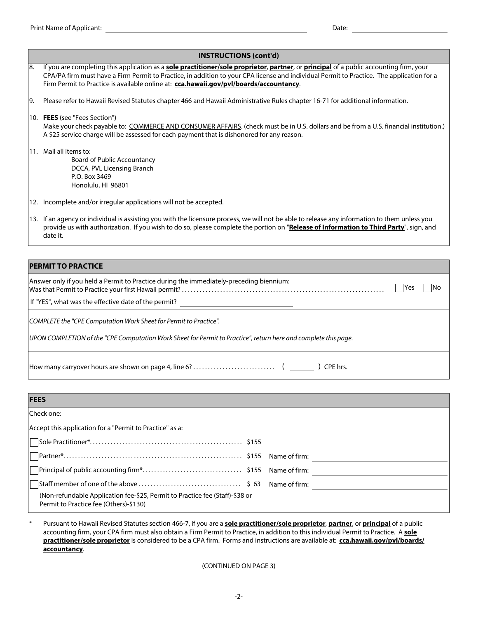|     | <b>INSTRUCTIONS (cont'd)</b>                                                                                                                                                                                                                                                                                                                                                                 |  |  |  |  |  |
|-----|----------------------------------------------------------------------------------------------------------------------------------------------------------------------------------------------------------------------------------------------------------------------------------------------------------------------------------------------------------------------------------------------|--|--|--|--|--|
| 18. | If you are completing this application as a <b>sole practitioner/sole proprietor, partner</b> , or <b>principal</b> of a public accounting firm, your<br>CPA/PA firm must have a Firm Permit to Practice, in addition to your CPA license and individual Permit to Practice. The application for a<br>Firm Permit to Practice is available online at: cca.hawaii.gov/pvl/boards/accountancy. |  |  |  |  |  |
| 19. | Please refer to Hawaii Revised Statutes chapter 466 and Hawaii Administrative Rules chapter 16-71 for additional information.                                                                                                                                                                                                                                                                |  |  |  |  |  |
|     | 10. FEES (see "Fees Section")<br>Make your check payable to: COMMERCE AND CONSUMER AFFAIRS. (check must be in U.S. dollars and be from a U.S. financial institution.)<br>A \$25 service charge will be assessed for each payment that is dishonored for any reason.                                                                                                                          |  |  |  |  |  |
|     | 11. Mail all items to:<br><b>Board of Public Accountancy</b><br>DCCA, PVL Licensing Branch<br>P.O. Box 3469<br>Honolulu, HI 96801                                                                                                                                                                                                                                                            |  |  |  |  |  |
|     | 12. Incomplete and/or irregular applications will not be accepted.                                                                                                                                                                                                                                                                                                                           |  |  |  |  |  |
|     | 13. If an agency or individual is assisting you with the licensure process, we will not be able to release any information to them unless you<br>provide us with authorization. If you wish to do so, please complete the portion on "Release of Information to Third Party", sign, and<br>date it.                                                                                          |  |  |  |  |  |
|     |                                                                                                                                                                                                                                                                                                                                                                                              |  |  |  |  |  |
|     | <b>PERMIT TO PRACTICE</b>                                                                                                                                                                                                                                                                                                                                                                    |  |  |  |  |  |

| Answer only if you held a Permit to Practice during the immediately-preceding biennium:                                                                                              | - IYes | INo |
|--------------------------------------------------------------------------------------------------------------------------------------------------------------------------------------|--------|-----|
| If "YES", what was the effective date of the permit?                                                                                                                                 |        |     |
| COMPLETE the "CPE Computation Work Sheet for Permit to Practice".<br>UPON COMPLETION of the "CPE Computation Work Sheet for Permit to Practice", return here and complete this page. |        |     |
| CPE hrs.                                                                                                                                                                             |        |     |

| <b>FEES</b>                                                                                                            |  |  |  |  |
|------------------------------------------------------------------------------------------------------------------------|--|--|--|--|
| Check one:                                                                                                             |  |  |  |  |
| Accept this application for a "Permit to Practice" as a:                                                               |  |  |  |  |
|                                                                                                                        |  |  |  |  |
|                                                                                                                        |  |  |  |  |
|                                                                                                                        |  |  |  |  |
|                                                                                                                        |  |  |  |  |
| (Non-refundable Application fee-\$25, Permit to Practice fee (Staff)-\$38 or<br>Permit to Practice fee (Others)-\$130) |  |  |  |  |

Pursuant to Hawaii Revised Statutes section 466-7, if you are a **sole practitioner/sole proprietor**, **partner**, or **principal** of a public accounting firm, your CPA firm must also obtain a Firm Permit to Practice, in addition to this individual Permit to Practice. A **sole practitioner/sole proprietor** is considered to be a CPA firm. Forms and instructions are available at: **cca.hawaii.gov/pvl/boards/ accountancy**. \*

(CONTINUED ON PAGE 3)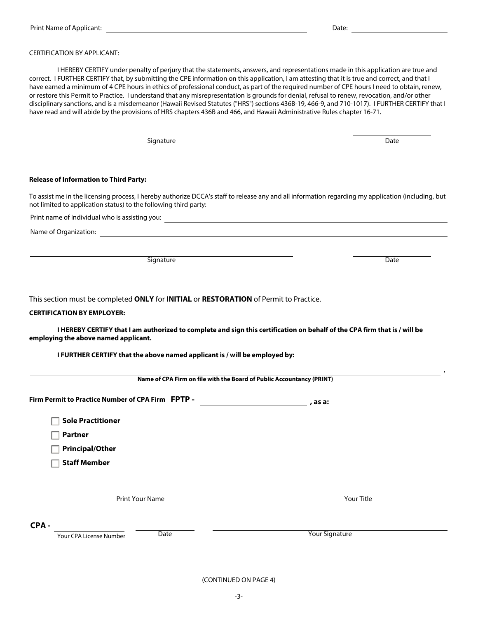## CERTIFICATION BY APPLICANT:

I HEREBY CERTIFY under penalty of perjury that the statements, answers, and representations made in this application are true and correct. I FURTHER CERTIFY that, by submitting the CPE information on this application, I am attesting that it is true and correct, and that I have earned a minimum of 4 CPE hours in ethics of professional conduct, as part of the required number of CPE hours I need to obtain, renew, or restore this Permit to Practice. I understand that any misrepresentation is grounds for denial, refusal to renew, revocation, and/or other disciplinary sanctions, and is a misdemeanor (Hawaii Revised Statutes ("HRS") sections 436B-19, 466-9, and 710-1017). I FURTHER CERTIFY that I have read and will abide by the provisions of HRS chapters 436B and 466, and Hawaii Administrative Rules chapter 16-71.

Signature Date Date Date of the Signature Date Date Date Date Date Date

#### **Release of Information to Third Party:**

To assist me in the licensing process, I hereby authorize DCCA's staff to release any and all information regarding my application (including, but not limited to application status) to the following third party:

Print name of Individual who is assisting you:

Name of Organization:

Signature **Date** 

This section must be completed **ONLY** for **INITIAL** or **RESTORATION** of Permit to Practice.

## **CERTIFICATION BY EMPLOYER:**

**I HEREBY CERTIFY that I am authorized to complete and sign this certification on behalf of the CPA firm that is / will be employing the above named applicant.**

**I FURTHER CERTIFY that the above named applicant is / will be employed by:**

| Name of CPA Firm on file with the Board of Public Accountancy (PRINT) |         |  |  |  |  |  |
|-----------------------------------------------------------------------|---------|--|--|--|--|--|
| Firm Permit to Practice Number of CPA Firm FPTP -                     | , as a: |  |  |  |  |  |
| <b>Sole Practitioner</b>                                              |         |  |  |  |  |  |
| Partner                                                               |         |  |  |  |  |  |
| <b>Principal/Other</b>                                                |         |  |  |  |  |  |
| <b>Staff Member</b>                                                   |         |  |  |  |  |  |

Print Your Name Your Title

,

## **CPA -**

Your CPA License Number

Date

Your Signature

(CONTINUED ON PAGE 4)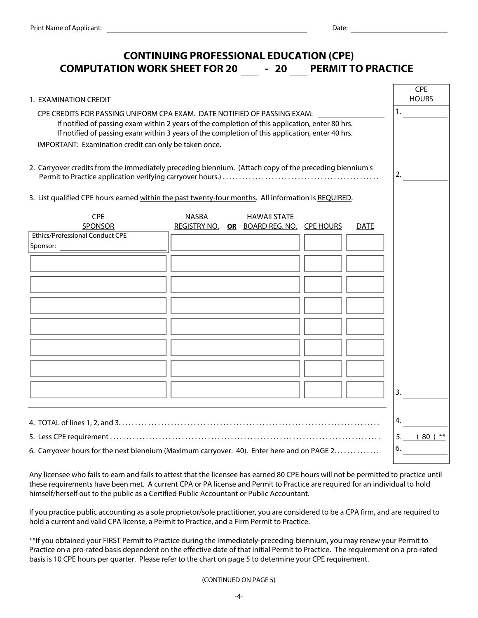# **CONTINUING PROFESSIONAL EDUCATION (CPE) COMPUTATION WORK SHEET FOR 20 - 20 PERMIT TO PRACTICE**

| 1. EXAMINATION CREDIT                                                                                                                                                                                                                                                                                                                   |              |  |                                                                 |  |             | <b>CPE</b><br><b>HOURS</b> |  |
|-----------------------------------------------------------------------------------------------------------------------------------------------------------------------------------------------------------------------------------------------------------------------------------------------------------------------------------------|--------------|--|-----------------------------------------------------------------|--|-------------|----------------------------|--|
| CPE CREDITS FOR PASSING UNIFORM CPA EXAM. DATE NOTIFIED OF PASSING EXAM:<br>If notified of passing exam within 2 years of the completion of this application, enter 80 hrs.<br>If notified of passing exam within 3 years of the completion of this application, enter 40 hrs.<br>IMPORTANT: Examination credit can only be taken once. |              |  |                                                                 |  |             | 1.                         |  |
|                                                                                                                                                                                                                                                                                                                                         |              |  |                                                                 |  |             |                            |  |
| 2. Carryover credits from the immediately preceding biennium. (Attach copy of the preceding biennium's                                                                                                                                                                                                                                  |              |  |                                                                 |  |             |                            |  |
| 3. List qualified CPE hours earned within the past twenty-four months. All information is REQUIRED.                                                                                                                                                                                                                                     |              |  |                                                                 |  |             |                            |  |
| <b>CPE</b><br>SPONSOR                                                                                                                                                                                                                                                                                                                   | <b>NASBA</b> |  | <b>HAWAII STATE</b><br>REGISTRY NO. OR BOARD REG. NO. CPE HOURS |  | <b>DATE</b> |                            |  |
| <b>Ethics/Professional Conduct CPE</b><br>Sponsor:                                                                                                                                                                                                                                                                                      |              |  |                                                                 |  |             |                            |  |
|                                                                                                                                                                                                                                                                                                                                         |              |  |                                                                 |  |             |                            |  |
|                                                                                                                                                                                                                                                                                                                                         |              |  |                                                                 |  |             |                            |  |
|                                                                                                                                                                                                                                                                                                                                         |              |  |                                                                 |  |             |                            |  |
|                                                                                                                                                                                                                                                                                                                                         |              |  |                                                                 |  |             |                            |  |
|                                                                                                                                                                                                                                                                                                                                         |              |  |                                                                 |  |             |                            |  |
|                                                                                                                                                                                                                                                                                                                                         |              |  |                                                                 |  |             |                            |  |
|                                                                                                                                                                                                                                                                                                                                         |              |  |                                                                 |  |             | 3.                         |  |
|                                                                                                                                                                                                                                                                                                                                         |              |  |                                                                 |  |             | 4.                         |  |
|                                                                                                                                                                                                                                                                                                                                         |              |  |                                                                 |  |             |                            |  |
| 6. Carryover hours for the next biennium (Maximum carryover: 40). Enter here and on PAGE 2                                                                                                                                                                                                                                              |              |  |                                                                 |  |             | 6.                         |  |

Any licensee who fails to earn and fails to attest that the licensee has earned 80 CPE hours will not be permitted to practice until these requirements have been met. A current CPA or PA license and Permit to Practice are required for an individual to hold himself/herself out to the public as a Certified Public Accountant or Public Accountant.

If you practice public accounting as a sole proprietor/sole practitioner, you are considered to be a CPA firm, and are required to hold a current and valid CPA license, a Permit to Practice, and a Firm Permit to Practice.

\*\*If you obtained your FIRST Permit to Practice during the immediately-preceding biennium, you may renew your Permit to Practice on a pro-rated basis dependent on the effective date of that initial Permit to Practice. The requirement on a pro-rated basis is 10 CPE hours per quarter. Please refer to the chart on page 5 to determine your CPE requirement.